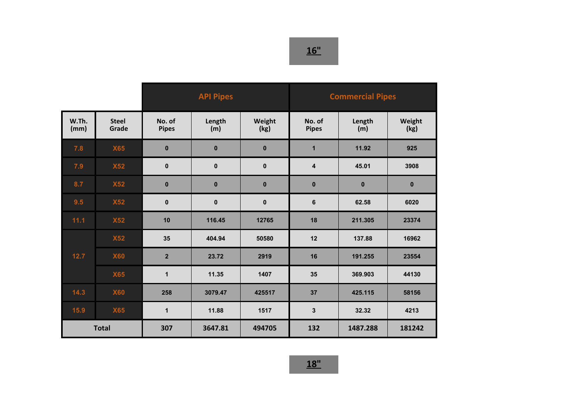|               |                       | <b>API Pipes</b>       |               |                | <b>Commercial Pipes</b> |               |                |
|---------------|-----------------------|------------------------|---------------|----------------|-------------------------|---------------|----------------|
| W.Th.<br>(mm) | <b>Steel</b><br>Grade | No. of<br><b>Pipes</b> | Length<br>(m) | Weight<br>(kg) | No. of<br><b>Pipes</b>  | Length<br>(m) | Weight<br>(kg) |
| 7.8           | <b>X65</b>            | $\mathbf{0}$           | $\bf{0}$      | $\bf{0}$       | 1                       | 11.92         | 925            |
| 7.9           | <b>X52</b>            | $\mathbf 0$            | $\mathbf{0}$  | $\mathbf{0}$   | $\overline{\mathbf{4}}$ | 45.01         | 3908           |
| 8.7           | <b>X52</b>            | $\bf{0}$               | $\bf{0}$      | $\bf{0}$       | $\pmb{0}$               | $\mathbf{0}$  | $\bf{0}$       |
| 9.5           | <b>X52</b>            | $\mathbf 0$            | $\mathbf{0}$  | $\pmb{0}$      | $\bf 6$                 | 62.58         | 6020           |
| 11.1          | <b>X52</b>            | 10                     | 116.45        | 12765          | 18                      | 211.305       | 23374          |
|               | <b>X52</b>            | 35                     | 404.94        | 50580          | 12                      | 137.88        | 16962          |
| 12.7          | <b>X60</b>            | $\overline{2}$         | 23.72         | 2919           | 16                      | 191.255       | 23554          |
|               | <b>X65</b>            | 1                      | 11.35         | 1407           | 35                      | 369.903       | 44130          |
| 14.3          | <b>X60</b>            | 258                    | 3079.47       | 425517         | 37                      | 425.115       | 58156          |
| $15.9$        | <b>X65</b>            | $\mathbf 1$            | 11.88         | 1517           | $\mathbf{3}$            | 32.32         | 4213           |
| <b>Total</b>  |                       | 307                    | 3647.81       | 494705         | 132                     | 1487.288      | 181242         |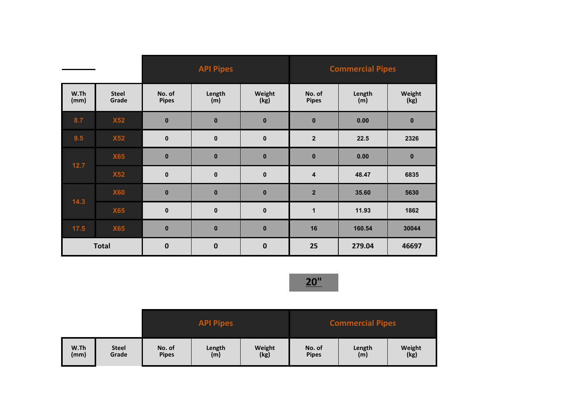|              |                       | <b>API Pipes</b>       |               |                | <b>Commercial Pipes</b> |               |                |
|--------------|-----------------------|------------------------|---------------|----------------|-------------------------|---------------|----------------|
| W.Th<br>(mm) | <b>Steel</b><br>Grade | No. of<br><b>Pipes</b> | Length<br>(m) | Weight<br>(kg) | No. of<br><b>Pipes</b>  | Length<br>(m) | Weight<br>(kg) |
| 8.7          | <b>X52</b>            | $\bf{0}$               | $\bf{0}$      | $\bf{0}$       | $\mathbf 0$             | 0.00          | $\bf{0}$       |
| 9.5          | <b>X52</b>            | $\bf{0}$               | $\mathbf{0}$  | $\mathbf{0}$   | $\overline{\mathbf{2}}$ | 22.5          | 2326           |
| $12.7$       | <b>X65</b>            | $\bf{0}$               | $\bf{0}$      | $\bf{0}$       | $\bf{0}$                | 0.00          | $\mathbf 0$    |
|              | <b>X52</b>            | $\bf{0}$               | $\pmb{0}$     | $\mathbf 0$    | 4                       | 48.47         | 6835           |
|              | <b>X60</b>            | $\bf{0}$               | $\bf{0}$      | $\bf{0}$       | $\overline{\mathbf{2}}$ | 35.60         | 5630           |
| 14.3         | <b>X65</b>            | $\mathbf 0$            | $\mathbf{0}$  | $\mathbf 0$    | $\mathbf 1$             | 11.93         | 1862           |
| 17.5         | <b>X65</b>            | $\bf{0}$               | $\bf{0}$      | $\bf{0}$       | 16                      | 160.54        | 30044          |
| <b>Total</b> |                       | $\bf{0}$               | $\mathbf 0$   | $\bf{0}$       | 25                      | 279.04        | 46697          |

|      |              | <b>API Pipes</b> |        |        | <b>Commercial Pipes</b> |        |        |  |
|------|--------------|------------------|--------|--------|-------------------------|--------|--------|--|
| W.Th | <b>Steel</b> | No. of           | Length | Weight | No. of                  | Length | Weight |  |
| (mm) | Grade        | <b>Pipes</b>     | (m)    | (kg)   | <b>Pipes</b>            | (m)    | (kg)   |  |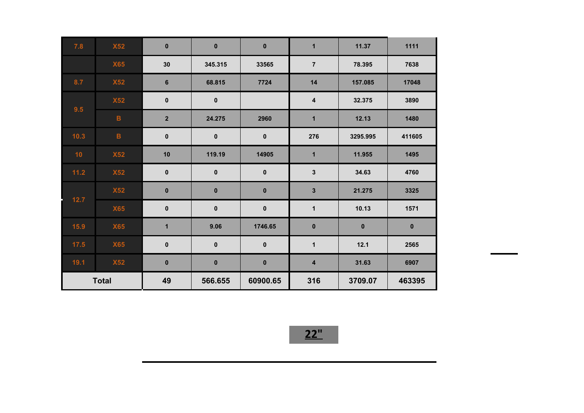| 7.8          | <b>X52</b>      | $\bf{0}$                | $\mathbf 0$ | $\mathbf 0$ | $\overline{1}$          | 11.37     | 1111        |
|--------------|-----------------|-------------------------|-------------|-------------|-------------------------|-----------|-------------|
|              | <b>X65</b>      | 30                      | 345.315     | 33565       | $\overline{7}$          | 78.395    | 7638        |
| 8.7          | <b>X52</b>      | $6\phantom{1}6$         | 68.815      | 7724        | 14                      | 157.085   | 17048       |
| 9.5          | <b>X52</b>      | $\pmb{0}$               | $\mathbf 0$ |             | $\overline{\mathbf{4}}$ | 32.375    | 3890        |
|              | $\mathbf{B}$    | $\mathbf 2$             | 24.275      | 2960        | $\mathbf{1}$            | 12.13     | 1480        |
| $10.3$       | $\, {\bf B} \,$ | $\pmb{0}$               | $\bf{0}$    | $\mathbf 0$ | 276                     | 3295.995  | 411605      |
| 10           | <b>X52</b>      | 10                      | 119.19      | 14905       | $\mathbf{1}$            | 11.955    | 1495        |
| 11.2         | <b>X52</b>      | $\pmb{0}$               | $\pmb{0}$   | $\pmb{0}$   | $\mathbf 3$             | 34.63     | 4760        |
| 12.7         | <b>X52</b>      | $\pmb{0}$               | $\pmb{0}$   | $\pmb{0}$   | $\mathbf{3}$            | 21.275    | 3325        |
|              | <b>X65</b>      | $\pmb{0}$               | $\pmb{0}$   | $\pmb{0}$   | $\mathbf 1$             | 10.13     | 1571        |
| $15.9$       | <b>X65</b>      | $\overline{\mathbf{1}}$ | 9.06        | 1746.65     | $\mathbf 0$             | $\pmb{0}$ | $\mathbf 0$ |
| 17.5         | <b>X65</b>      | $\pmb{0}$               | $\pmb{0}$   | $\pmb{0}$   | $\mathbf 1$             | 12.1      | 2565        |
| $19.1$       | <b>X52</b>      | $\pmb{0}$               | $\pmb{0}$   | $\mathbf 0$ | $\overline{\mathbf{4}}$ | 31.63     | 6907        |
| <b>Total</b> |                 | 49                      | 566.655     | 60900.65    | 316                     | 3709.07   | 463395      |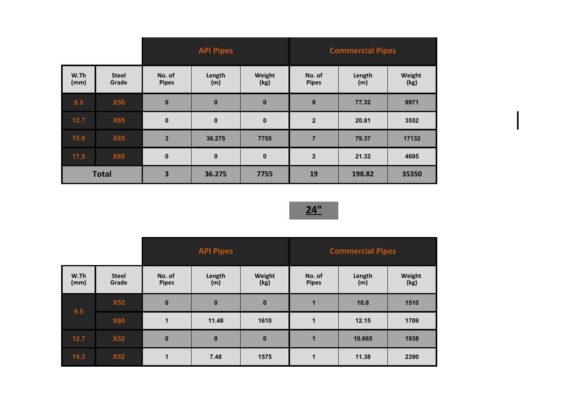|              |                       | <b>API Pipes</b>       |               |                | <b>Commercial Pipes</b> |               |                |
|--------------|-----------------------|------------------------|---------------|----------------|-------------------------|---------------|----------------|
| W.Th<br>(mm) | <b>Steel</b><br>Grade | No. of<br><b>Pipes</b> | Length<br>(m) | Weight<br>(kg) | No. of<br><b>Pipes</b>  | Length<br>(m) | Weight<br>(kg) |
| 9.5          | <b>X56</b>            | $\bf{0}$               | $\bf{0}$      | $\mathbf{0}$   | 8                       | 77.32         | 9971           |
| $12.7$       | <b>X65</b>            | $\mathbf 0$            | $\mathbf 0$   | $\mathbf 0$    | $\overline{2}$          | 20.81         | 3552           |
| 15.9         | <b>X65</b>            | $\overline{3}$         | 36.275        | 7755           | $\overline{7}$          | 79.37         | 17132          |
| $17.5$       | <b>X65</b>            | $\mathbf 0$            | $\bf{0}$      | $\mathbf{0}$   | $\overline{2}$          | 21.32         | 4695           |
| <b>Total</b> |                       | 3                      | 36.275        | 7755           | 19                      | 198.82        | 35350          |

|              |                       | <b>API Pipes</b>       |               |                | <b>Commercial Pipes</b> |               |                |
|--------------|-----------------------|------------------------|---------------|----------------|-------------------------|---------------|----------------|
| W.Th<br>(mm) | <b>Steel</b><br>Grade | No. of<br><b>Pipes</b> | Length<br>(m) | Weight<br>(kg) | No. of<br><b>Pipes</b>  | Length<br>(m) | Weight<br>(kg) |
| 9.5          | <b>X52</b>            | $\mathbf{0}$           | $\bf{0}$      | $\mathbf 0$    | 1                       | 10.8          | 1510           |
|              | <b>X60</b>            | 1                      | 11.48         | 1610           | 1                       | 12.15         | 1709           |
| $12.7$       | X52                   | $\mathbf{0}$           | $\pmb{0}$     | $\bf{0}$       | 1                       | 10.665        | 1938           |
| 14.3         | <b>X52</b>            | $\blacktriangleleft$   | 7.48          | 1575           | 1                       | 11.38         | 2390           |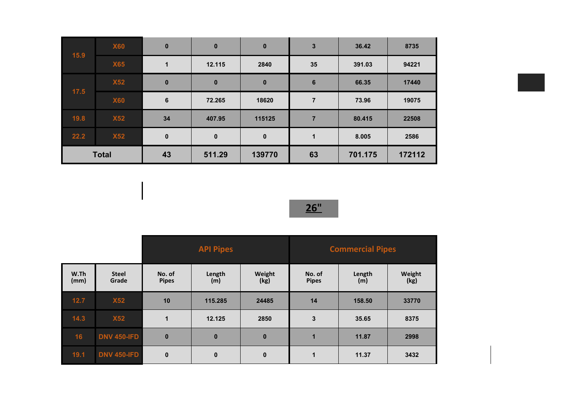| 15.9         | <b>X60</b> | $\bf{0}$     | $\bf{0}$     | $\bf{0}$    | $\mathbf{3}$    | 36.42   | 8735   |
|--------------|------------|--------------|--------------|-------------|-----------------|---------|--------|
| 17.5         | <b>X65</b> | 1            | 12.115       | 2840        | 35              | 391.03  | 94221  |
|              | <b>X52</b> | $\bf{0}$     | $\bf{0}$     | $\mathbf 0$ | $6\phantom{1}6$ | 66.35   | 17440  |
|              | <b>X60</b> | 6            | 72.265       | 18620       | $\overline{7}$  | 73.96   | 19075  |
| 19.8         | <b>X52</b> | 34           | 407.95       | 115125      | $\overline{7}$  | 80.415  | 22508  |
| 22.2         | <b>X52</b> | $\mathbf{0}$ | $\mathbf{0}$ | $\mathbf 0$ | $\mathbf 1$     | 8.005   | 2586   |
| <b>Total</b> |            | 43           | 511.29       | 139770      | 63              | 701.175 | 172112 |



|              |                       | <b>API Pipes</b>       |               |                | <b>Commercial Pipes</b> |               |                |  |
|--------------|-----------------------|------------------------|---------------|----------------|-------------------------|---------------|----------------|--|
| W.Th<br>(mm) | <b>Steel</b><br>Grade | No. of<br><b>Pipes</b> | Length<br>(m) | Weight<br>(kg) | No. of<br><b>Pipes</b>  | Length<br>(m) | Weight<br>(kg) |  |
| $12.7$       | <b>X52</b>            | 10                     | 115.285       | 24485          | 14                      | 158.50        | 33770          |  |
| 14.3         | <b>X52</b>            | $\blacktriangleleft$   | 12.125        | 2850           | $\mathbf{3}$            | 35.65         | 8375           |  |
| 16           | <b>DNV 450-IFD</b>    | $\bf{0}$               | $\bf{0}$      | $\bf{0}$       | 1                       | 11.87         | 2998           |  |
| 19.1         | <b>DNV 450-IFD</b>    | $\mathbf 0$            | $\mathbf{0}$  | $\bf{0}$       | 1                       | 11.37         | 3432           |  |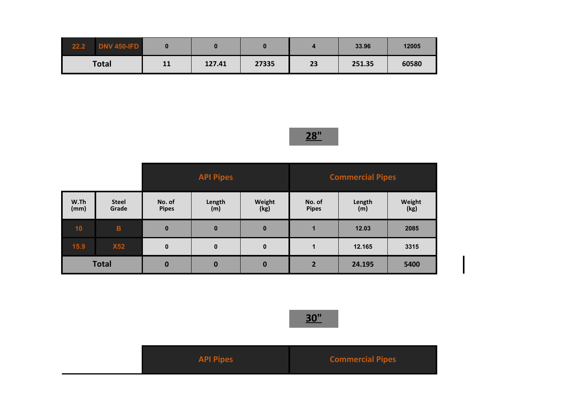| 22.2         | <b>DNV 450-IFD</b> |    |        |       |    | 33.96  | 12005 |
|--------------|--------------------|----|--------|-------|----|--------|-------|
| <b>Total</b> |                    | 11 | 127.41 | 27335 | 23 | 251.35 | 60580 |

|              |                       | <b>API Pipes</b>       |               |                | <b>Commercial Pipes</b> |               |                |
|--------------|-----------------------|------------------------|---------------|----------------|-------------------------|---------------|----------------|
| W.Th<br>(mm) | <b>Steel</b><br>Grade | No. of<br><b>Pipes</b> | Length<br>(m) | Weight<br>(kg) | No. of<br><b>Pipes</b>  | Length<br>(m) | Weight<br>(kg) |
| 10           | $\mathbf B$           | $\mathbf{0}$           | $\bf{0}$      | $\bf{0}$       |                         | 12.03         | 2085           |
| 15.9         | <b>X52</b>            | $\mathbf{0}$           | $\pmb{0}$     | $\mathbf{0}$   |                         | 12.165        | 3315           |
| <b>Total</b> |                       | $\mathbf 0$            | $\bf{0}$      | $\bf{0}$       | $\overline{2}$          | 24.195        | 5400           |

| <b>API Pipes</b> | <b>Commercial Pipes</b> |
|------------------|-------------------------|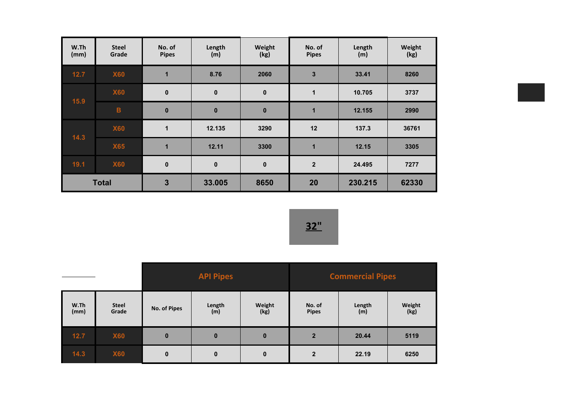| W.Th<br>(mm) | <b>Steel</b><br>Grade | No. of<br><b>Pipes</b> | Length<br>(m) | Weight<br>(kg) | No. of<br><b>Pipes</b>  | Length<br>(m) | Weight<br>(kg) |
|--------------|-----------------------|------------------------|---------------|----------------|-------------------------|---------------|----------------|
| $12.7$       | <b>X60</b>            | 1                      | 8.76          | 2060           | $\overline{\mathbf{3}}$ | 33.41         | 8260           |
| 15.9         | <b>X60</b>            | $\bf{0}$               | $\mathbf{0}$  | $\mathbf 0$    | 1                       | 10.705        | 3737           |
|              | $\overline{B}$        | $\bf{0}$               | $\mathbf{0}$  | $\bf{0}$       | $\blacksquare$          | 12.155        | 2990           |
| 14.3         | <b>X60</b>            | 1                      | 12.135        | 3290           | 12                      | 137.3         | 36761          |
|              | <b>X65</b>            | 1                      | 12.11         | 3300           | 1                       | 12.15         | 3305           |
| 19.1         | <b>X60</b>            | $\bf{0}$               | $\mathbf 0$   | $\bf{0}$       | $\mathbf{2}$            | 24.495        | 7277           |
| <b>Total</b> |                       | 3                      | 33.005        | 8650           | 20                      | 230.215       | 62330          |

|              |                       | <b>API Pipes</b> |               |                | <b>Commercial Pipes</b> |               |                |
|--------------|-----------------------|------------------|---------------|----------------|-------------------------|---------------|----------------|
| W.Th<br>(mm) | <b>Steel</b><br>Grade | No. of Pipes     | Length<br>(m) | Weight<br>(kg) | No. of<br><b>Pipes</b>  | Length<br>(m) | Weight<br>(kg) |
| 12.7         | <b>X60</b>            | $\bf{0}$         | $\mathbf{0}$  | $\bf{0}$       | $\overline{2}$          | 20.44         | 5119           |
| $14.3$       | <b>X60</b>            | $\bf{0}$         | $\mathbf 0$   | $\bf{0}$       | $\mathbf{2}$            | 22.19         | 6250           |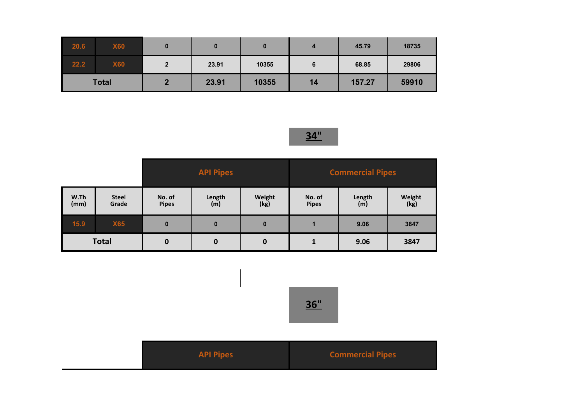| 20.6 | <b>X60</b>   |   |       |       | 4  | 45.79  | 18735 |
|------|--------------|---|-------|-------|----|--------|-------|
| 22.2 | <b>X60</b>   | ŋ | 23.91 | 10355 | 6  | 68.85  | 29806 |
|      | <b>Total</b> |   | 23.91 | 10355 | 14 | 157.27 | 59910 |

|              |                       | <b>API Pipes</b>       |               |                | <b>Commercial Pipes</b> |               |                |
|--------------|-----------------------|------------------------|---------------|----------------|-------------------------|---------------|----------------|
| W.Th<br>(mm) | <b>Steel</b><br>Grade | No. of<br><b>Pipes</b> | Length<br>(m) | Weight<br>(kg) | No. of<br><b>Pipes</b>  | Length<br>(m) | Weight<br>(kg) |
| 15.9         | <b>X65</b>            | $\bf{0}$               | $\bf{0}$      | $\bf{0}$       | 1                       | 9.06          | 3847           |
| <b>Total</b> |                       | $\bf{0}$               | $\bf{0}$      | $\bf{0}$       |                         | 9.06          | 3847           |



| <b>API Pipes</b> | <b>Commercial Pipes</b> |
|------------------|-------------------------|
|------------------|-------------------------|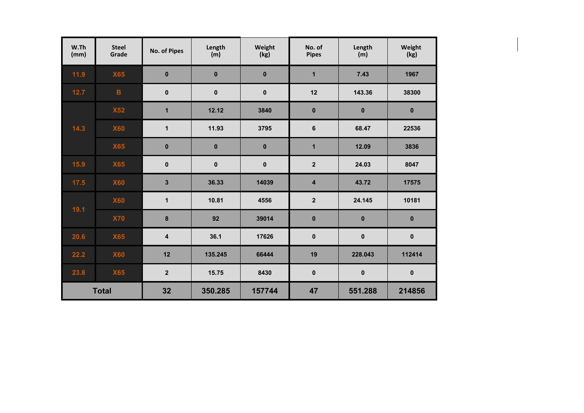| W.Th<br>(mm) | <b>Steel</b><br>Grade | No. of Pipes            | Length<br>(m) | Weight<br>(kg) | No. of<br><b>Pipes</b>  | Length<br>(m) | Weight<br>(kg) |
|--------------|-----------------------|-------------------------|---------------|----------------|-------------------------|---------------|----------------|
| $11.9$       | <b>X65</b>            | $\mathbf{0}$            | $\bf{0}$      | $\bf{0}$       | $\overline{\mathbf{1}}$ | 7.43          | 1967           |
| 12.7         | $\mathbf{B}$          | $\mathbf 0$             | $\mathbf{0}$  | $\mathbf 0$    | 12                      | 143.36        | 38300          |
|              | <b>X52</b>            | 1                       | 12.12         | 3840           | $\bf{0}$                | $\bf{0}$      | $\pmb{0}$      |
| 14.3         | <b>X60</b>            | 1                       | 11.93         | 3795           | $\bf 6$                 | 68.47         | 22536          |
|              | <b>X65</b>            | $\bf{0}$                | $\mathbf 0$   | $\bf{0}$       | $\mathbf{1}$            | 12.09         | 3836           |
| 15.9         | <b>X65</b>            | $\pmb{0}$               | 0             | $\mathbf 0$    | $\mathbf 2$             | 24.03         | 8047           |
| 17.5         | <b>X60</b>            | 3                       | 36.33         | 14039          | $\overline{4}$          | 43.72         | 17575          |
| 19.1         | <b>X60</b>            | 1                       | 10.81         | 4556           | $\mathbf 2$             | 24.145        | 10181          |
|              | <b>X70</b>            | 8                       | 92            | 39014          | $\bf{0}$                | $\pmb{0}$     | $\bf{0}$       |
| 20.6         | <b>X65</b>            | $\overline{\mathbf{4}}$ | 36.1          | 17626          | $\pmb{0}$               | $\pmb{0}$     | $\pmb{0}$      |
| 22.2         | <b>X60</b>            | 12                      | 135.245       | 66444          | 19                      | 228.043       | 112414         |
| 23.8         | <b>X65</b>            | $\overline{2}$          | 15.75         | 8430           | $\pmb{0}$               | $\pmb{0}$     | $\pmb{0}$      |
|              | <b>Total</b>          | 32                      | 350.285       | 157744         | 47                      | 551.288       | 214856         |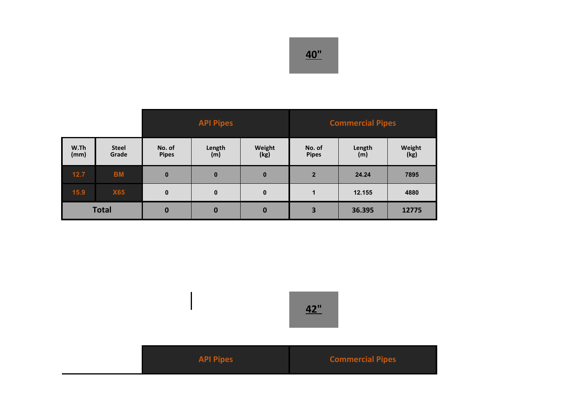|              |                       | <b>API Pipes</b>       |               |                | <b>Commercial Pipes</b> |               |                |
|--------------|-----------------------|------------------------|---------------|----------------|-------------------------|---------------|----------------|
| W.Th<br>(mm) | <b>Steel</b><br>Grade | No. of<br><b>Pipes</b> | Length<br>(m) | Weight<br>(kg) | No. of<br><b>Pipes</b>  | Length<br>(m) | Weight<br>(kg) |
| $12.7$       | <b>BM</b>             | $\bf{0}$               | $\mathbf 0$   | $\mathbf{0}$   | $\overline{2}$          | 24.24         | 7895           |
| 15.9         | <b>X65</b>            | $\mathbf{0}$           | $\mathbf{0}$  | $\mathbf 0$    | 1                       | 12.155        | 4880           |
| <b>Total</b> |                       | $\mathbf 0$            | $\mathbf 0$   | $\mathbf 0$    | 3                       | 36.395        | 12775          |

| <b>API Pipes</b> | <b>Commercial Pipes</b> |
|------------------|-------------------------|
|                  |                         |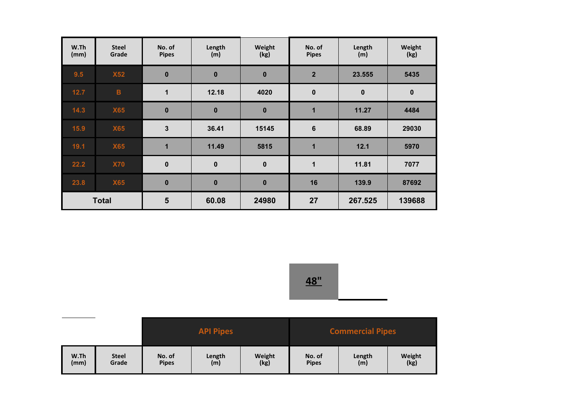| W.Th<br>(mm) | <b>Steel</b><br>Grade | No. of<br><b>Pipes</b> | Length<br>(m) | Weight<br>(kg) | No. of<br><b>Pipes</b> | Length<br>(m) | Weight<br>(kg) |
|--------------|-----------------------|------------------------|---------------|----------------|------------------------|---------------|----------------|
| 9.5          | <b>X52</b>            | $\bf{0}$               | $\mathbf 0$   | $\bf{0}$       | $\overline{2}$         | 23.555        | 5435           |
| $12.7$       | $\overline{B}$        | $\blacktriangleleft$   | 12.18         | 4020           | $\bf{0}$               | $\pmb{0}$     | $\mathbf 0$    |
| 14.3         | <b>X65</b>            | $\bf{0}$               | $\mathbf 0$   | $\bf{0}$       | $\blacktriangleleft$   | 11.27         | 4484           |
| 15.9         | <b>X65</b>            | 3                      | 36.41         | 15145          | $6\phantom{1}6$        | 68.89         | 29030          |
| 19.1         | <b>X65</b>            | 1                      | 11.49         | 5815           | $\blacksquare$         | 12.1          | 5970           |
| 22.2         | <b>X70</b>            | $\mathbf 0$            | $\mathbf 0$   | $\mathbf 0$    | 1                      | 11.81         | 7077           |
| 23.8         | <b>X65</b>            | $\bf{0}$               | $\bf{0}$      | $\bf{0}$       | 16                     | 139.9         | 87692          |
|              | <b>Total</b>          | 5                      | 60.08         | 24980          | 27                     | 267.525       | 139688         |



|      |              | <b>API Pipes</b> |        |        | <b>Commercial Pipes</b> |        |        |  |
|------|--------------|------------------|--------|--------|-------------------------|--------|--------|--|
| W.Th | <b>Steel</b> | No. of           | Length | Weight | No. of                  | Length | Weight |  |
| (mm) | Grade        | <b>Pipes</b>     | (m)    | (kg)   | <b>Pipes</b>            | (m)    | (kg)   |  |